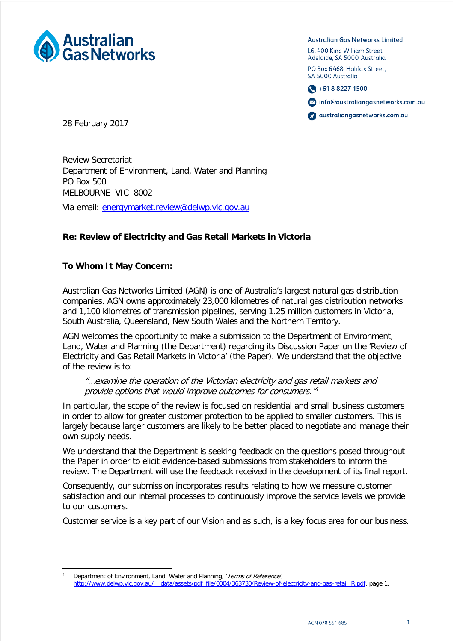

Australian Gas Networks Limited

L6, 400 King William Street Adelaide, SA 5000 Australia

PO Box 6468, Halifax Street. SA 5000 Australia





australiangasnetworks.com.au

28 February 2017

Review Secretariat Department of Environment, Land, Water and Planning PO Box 500 MELBOURNE VIC 8002

Via email: [energymarket.review@delwp.vic.gov.au](mailto:energymarket.review@delwp.vic.gov.au)

## **Re: Review of Electricity and Gas Retail Markets in Victoria**

## **To Whom It May Concern:**

Australian Gas Networks Limited (AGN) is one of Australia's largest natural gas distribution companies. AGN owns approximately 23,000 kilometres of natural gas distribution networks and 1,100 kilometres of transmission pipelines, serving 1.25 million customers in Victoria, South Australia, Queensland, New South Wales and the Northern Territory.

AGN welcomes the opportunity to make a submission to the Department of Environment, Land, Water and Planning (the Department) regarding its Discussion Paper on the 'Review of Electricity and Gas Retail Markets in Victoria' (the Paper). We understand that the objective of the review is to:

"…examine the operation of the Victorian electricity and gas retail markets and provide options that would improve outcomes for consumers."1

In particular, the scope of the review is focused on residential and small business customers in order to allow for greater customer protection to be applied to smaller customers. This is largely because larger customers are likely to be better placed to negotiate and manage their own supply needs.

We understand that the Department is seeking feedback on the questions posed throughout the Paper in order to elicit evidence-based submissions from stakeholders to inform the review. The Department will use the feedback received in the development of its final report.

Consequently, our submission incorporates results relating to how we measure customer satisfaction and our internal processes to continuously improve the service levels we provide to our customers.

Customer service is a key part of our Vision and as such, is a key focus area for our business.

Department of Environment, Land, Water and Planning, 'Terms of Reference', [http://www.delwp.vic.gov.au/\\_\\_data/assets/pdf\\_file/0004/363730/Review-of-electricity-and-gas-retail\\_R.pdf,](http://www.delwp.vic.gov.au/__data/assets/pdf_file/0004/363730/Review-of-electricity-and-gas-retail_R.pdf) page 1.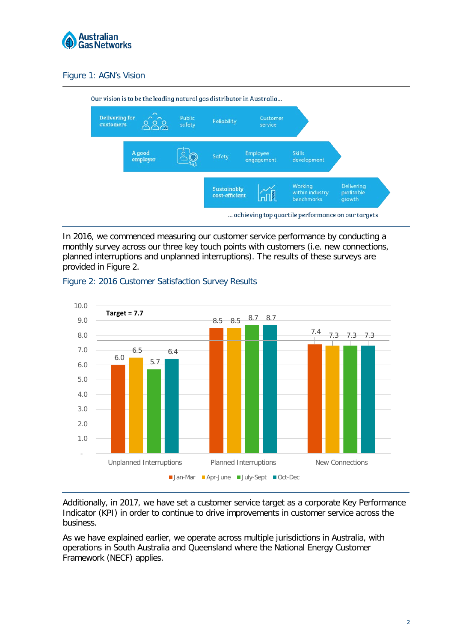

## Figure 1: AGN's Vision



In 2016, we commenced measuring our customer service performance by conducting a monthly survey across our three key touch points with customers (i.e. new connections, planned interruptions and unplanned interruptions). The results of these surveys are provided in Figure 2.



Figure 2: 2016 Customer Satisfaction Survey Results

Additionally, in 2017, we have set a customer service target as a corporate Key Performance Indicator (KPI) in order to continue to drive improvements in customer service across the business.

As we have explained earlier, we operate across multiple jurisdictions in Australia, with operations in South Australia and Queensland where the National Energy Customer Framework (NECF) applies.